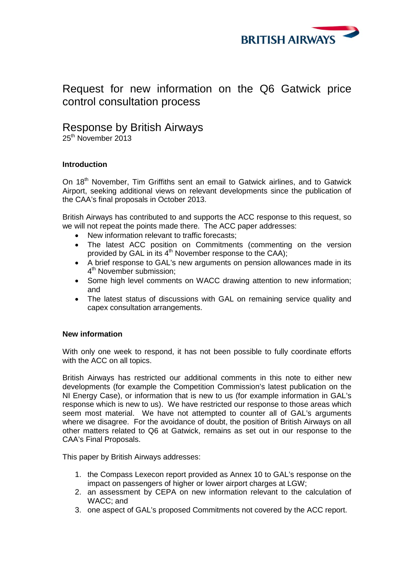

# Request for new information on the Q6 Gatwick price control consultation process

# Response by British Airways<br>25<sup>th</sup> November 2013

## **Introduction**

On 18<sup>th</sup> November, Tim Griffiths sent an email to Gatwick airlines, and to Gatwick Airport, seeking additional views on relevant developments since the publication of the CAA's final proposals in October 2013.

British Airways has contributed to and supports the ACC response to this request, so we will not repeat the points made there. The ACC paper addresses:

- New information relevant to traffic forecasts:
- The latest ACC position on Commitments (commenting on the version provided by GAL in its  $4<sup>th</sup>$  November response to the CAA);
- A brief response to GAL's new arguments on pension allowances made in its 4<sup>th</sup> November submission:
- Some high level comments on WACC drawing attention to new information; and
- The latest status of discussions with GAL on remaining service quality and capex consultation arrangements.

### **New information**

With only one week to respond, it has not been possible to fully coordinate efforts with the ACC on all topics.

British Airways has restricted our additional comments in this note to either new developments (for example the Competition Commission's latest publication on the NI Energy Case), or information that is new to us (for example information in GAL's response which is new to us). We have restricted our response to those areas which seem most material. We have not attempted to counter all of GAL's arguments where we disagree. For the avoidance of doubt, the position of British Airways on all other matters related to Q6 at Gatwick, remains as set out in our response to the CAA's Final Proposals.

This paper by British Airways addresses:

- 1. the Compass Lexecon report provided as Annex 10 to GAL's response on the impact on passengers of higher or lower airport charges at LGW;
- 2. an assessment by CEPA on new information relevant to the calculation of WACC; and
- 3. one aspect of GAL's proposed Commitments not covered by the ACC report.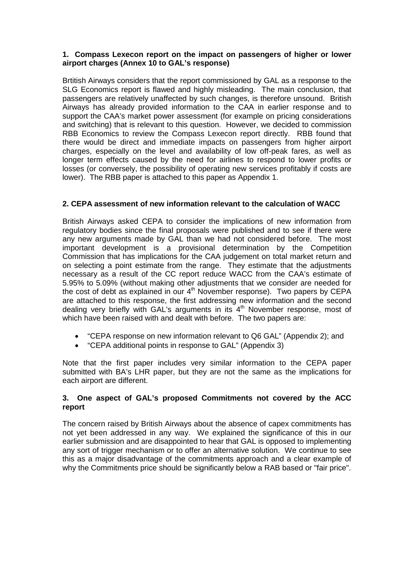#### **1. Compass Lexecon report on the impact on passengers of higher or lower airport charges (Annex 10 to GAL's response)**

Brtitish Airways considers that the report commissioned by GAL as a response to the SLG Economics report is flawed and highly misleading. The main conclusion, that passengers are relatively unaffected by such changes, is therefore unsound. British Airways has already provided information to the CAA in earlier response and to support the CAA's market power assessment (for example on pricing considerations and switching) that is relevant to this question. However, we decided to commission RBB Economics to review the Compass Lexecon report directly. RBB found that there would be direct and immediate impacts on passengers from higher airport charges, especially on the level and availability of low off-peak fares, as well as longer term effects caused by the need for airlines to respond to lower profits or losses (or conversely, the possibility of operating new services profitably if costs are lower). The RBB paper is attached to this paper as Appendix 1.

## **2. CEPA assessment of new information relevant to the calculation of WACC**

British Airways asked CEPA to consider the implications of new information from regulatory bodies since the final proposals were published and to see if there were any new arguments made by GAL than we had not considered before. The most important development is a provisional determination by the Competition Commission that has implications for the CAA judgement on total market return and on selecting a point estimate from the range. They estimate that the adjustments necessary as a result of the CC report reduce WACC from the CAA's estimate of 5.95% to 5.09% (without making other adjustments that we consider are needed for the cost of debt as explained in our  $4<sup>th</sup>$  November response). Two papers by CEPA are attached to this response, the first addressing new information and the second dealing very briefly with GAL's arguments in its  $4<sup>th</sup>$  November response, most of which have been raised with and dealt with before. The two papers are:

- "CEPA response on new information relevant to Q6 GAL" (Appendix 2); and
- "CEPA additional points in response to GAL" (Appendix 3)

Note that the first paper includes very similar information to the CEPA paper submitted with BA's LHR paper, but they are not the same as the implications for each airport are different.

#### **3. One aspect of GAL's proposed Commitments not covered by the ACC report**

The concern raised by British Airways about the absence of capex commitments has not yet been addressed in any way. We explained the significance of this in our earlier submission and are disappointed to hear that GAL is opposed to implementing any sort of trigger mechanism or to offer an alternative solution. We continue to see this as a major disadvantage of the commitments approach and a clear example of why the Commitments price should be significantly below a RAB based or "fair price".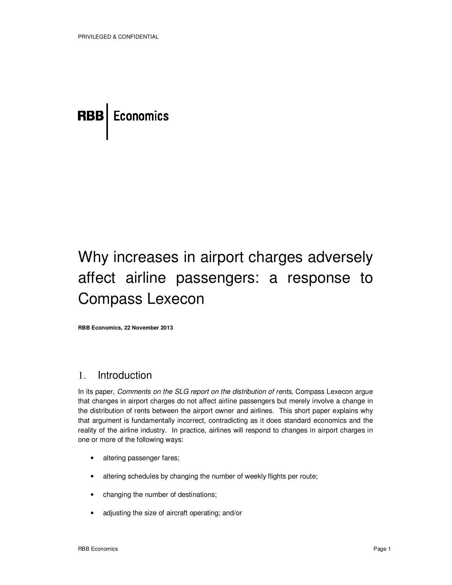# **RBB** Economics

# Why increases in airport charges adversely affect airline passengers: a response to Compass Lexecon

**RBB Economics, 22 November 2013** 

## 1. Introduction

In its paper, Comments on the SLG report on the distribution of rents, Compass Lexecon argue that changes in airport charges do not affect airline passengers but merely involve a change in the distribution of rents between the airport owner and airlines. This short paper explains why that argument is fundamentally incorrect, contradicting as it does standard economics and the reality of the airline industry. In practice, airlines will respond to changes in airport charges in one or more of the following ways:

- altering passenger fares;
- altering schedules by changing the number of weekly flights per route;
- changing the number of destinations;
- adjusting the size of aircraft operating; and/or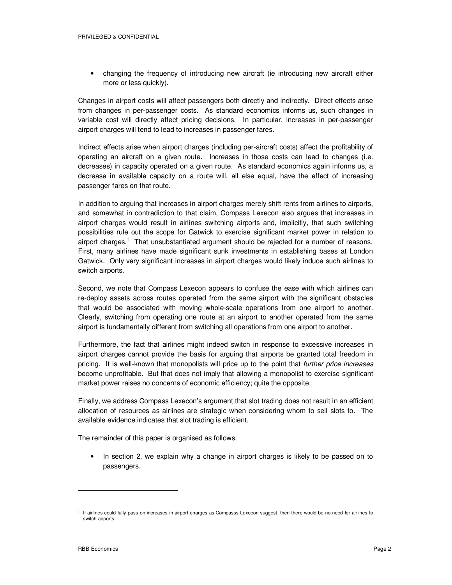• changing the frequency of introducing new aircraft (ie introducing new aircraft either more or less quickly).

Changes in airport costs will affect passengers both directly and indirectly. Direct effects arise from changes in per-passenger costs. As standard economics informs us, such changes in variable cost will directly affect pricing decisions. In particular, increases in per-passenger airport charges will tend to lead to increases in passenger fares.

Indirect effects arise when airport charges (including per-aircraft costs) affect the profitability of operating an aircraft on a given route. Increases in those costs can lead to changes (i.e. decreases) in capacity operated on a given route. As standard economics again informs us, a decrease in available capacity on a route will, all else equal, have the effect of increasing passenger fares on that route.

In addition to arguing that increases in airport charges merely shift rents from airlines to airports, and somewhat in contradiction to that claim, Compass Lexecon also argues that increases in airport charges would result in airlines switching airports and, implicitly, that such switching possibilities rule out the scope for Gatwick to exercise significant market power in relation to airport charges.<sup>1</sup> That unsubstantiated argument should be rejected for a number of reasons. First, many airlines have made significant sunk investments in establishing bases at London Gatwick. Only very significant increases in airport charges would likely induce such airlines to switch airports.

Second, we note that Compass Lexecon appears to confuse the ease with which airlines can re-deploy assets across routes operated from the same airport with the significant obstacles that would be associated with moving whole-scale operations from one airport to another. Clearly, switching from operating one route at an airport to another operated from the same airport is fundamentally different from switching all operations from one airport to another.

Furthermore, the fact that airlines might indeed switch in response to excessive increases in airport charges cannot provide the basis for arguing that airports be granted total freedom in pricing. It is well-known that monopolists will price up to the point that *further price increases* become unprofitable. But that does not imply that allowing a monopolist to exercise significant market power raises no concerns of economic efficiency; quite the opposite.

Finally, we address Compass Lexecon's argument that slot trading does not result in an efficient allocation of resources as airlines are strategic when considering whom to sell slots to. The available evidence indicates that slot trading is efficient.

The remainder of this paper is organised as follows.

• In section 2, we explain why a change in airport charges is likely to be passed on to passengers.

I If airlines could fully pass on increases in airport charges as Compasss Lexecon suggest, then there would be no need for airlines to switch airports.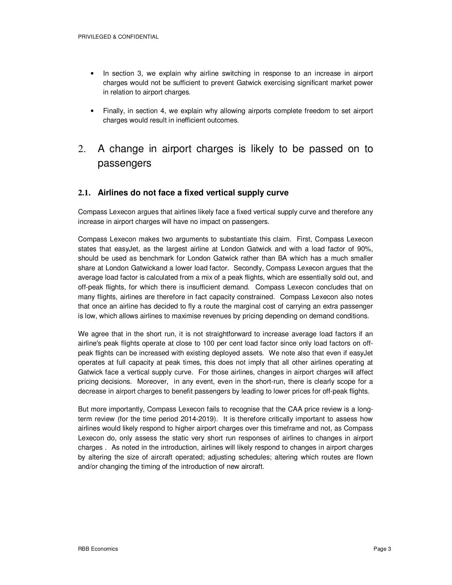- In section 3, we explain why airline switching in response to an increase in airport charges would not be sufficient to prevent Gatwick exercising significant market power in relation to airport charges.
- Finally, in section 4, we explain why allowing airports complete freedom to set airport charges would result in inefficient outcomes.
- 2. A change in airport charges is likely to be passed on to passengers

#### **2.1. Airlines do not face a fixed vertical supply curve**

Compass Lexecon argues that airlines likely face a fixed vertical supply curve and therefore any increase in airport charges will have no impact on passengers.

Compass Lexecon makes two arguments to substantiate this claim. First, Compass Lexecon states that easyJet, as the largest airline at London Gatwick and with a load factor of 90%, should be used as benchmark for London Gatwick rather than BA which has a much smaller share at London Gatwickand a lower load factor. Secondly, Compass Lexecon argues that the average load factor is calculated from a mix of a peak flights, which are essentially sold out, and off-peak flights, for which there is insufficient demand. Compass Lexecon concludes that on many flights, airlines are therefore in fact capacity constrained. Compass Lexecon also notes that once an airline has decided to fly a route the marginal cost of carrying an extra passenger is low, which allows airlines to maximise revenues by pricing depending on demand conditions.

We agree that in the short run, it is not straightforward to increase average load factors if an airline's peak flights operate at close to 100 per cent load factor since only load factors on offpeak flights can be increased with existing deployed assets. We note also that even if easyJet operates at full capacity at peak times, this does not imply that all other airlines operating at Gatwick face a vertical supply curve. For those airlines, changes in airport charges will affect pricing decisions. Moreover, in any event, even in the short-run, there is clearly scope for a decrease in airport charges to benefit passengers by leading to lower prices for off-peak flights.

But more importantly, Compass Lexecon fails to recognise that the CAA price review is a longterm review (for the time period 2014-2019). It is therefore critically important to assess how airlines would likely respond to higher airport charges over this timeframe and not, as Compass Lexecon do, only assess the static very short run responses of airlines to changes in airport charges . As noted in the introduction, airlines will likely respond to changes in airport charges by altering the size of aircraft operated; adjusting schedules; altering which routes are flown and/or changing the timing of the introduction of new aircraft.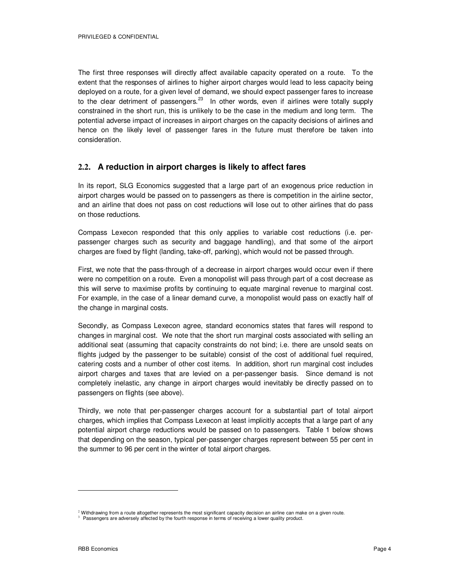The first three responses will directly affect available capacity operated on a route. To the extent that the responses of airlines to higher airport charges would lead to less capacity being deployed on a route, for a given level of demand, we should expect passenger fares to increase to the clear detriment of passengers. $^{23}$  In other words, even if airlines were totally supply constrained in the short run, this is unlikely to be the case in the medium and long term. The potential adverse impact of increases in airport charges on the capacity decisions of airlines and hence on the likely level of passenger fares in the future must therefore be taken into consideration.

### **2.2. A reduction in airport charges is likely to affect fares**

In its report, SLG Economics suggested that a large part of an exogenous price reduction in airport charges would be passed on to passengers as there is competition in the airline sector, and an airline that does not pass on cost reductions will lose out to other airlines that do pass on those reductions.

Compass Lexecon responded that this only applies to variable cost reductions (i.e. perpassenger charges such as security and baggage handling), and that some of the airport charges are fixed by flight (landing, take-off, parking), which would not be passed through.

First, we note that the pass-through of a decrease in airport charges would occur even if there were no competition on a route. Even a monopolist will pass through part of a cost decrease as this will serve to maximise profits by continuing to equate marginal revenue to marginal cost. For example, in the case of a linear demand curve, a monopolist would pass on exactly half of the change in marginal costs.

Secondly, as Compass Lexecon agree, standard economics states that fares will respond to changes in marginal cost. We note that the short run marginal costs associated with selling an additional seat (assuming that capacity constraints do not bind; i.e. there are unsold seats on flights judged by the passenger to be suitable) consist of the cost of additional fuel required, catering costs and a number of other cost items. In addition, short run marginal cost includes airport charges and taxes that are levied on a per-passenger basis. Since demand is not completely inelastic, any change in airport charges would inevitably be directly passed on to passengers on flights (see above).

Thirdly, we note that per-passenger charges account for a substantial part of total airport charges, which implies that Compass Lexecon at least implicitly accepts that a large part of any potential airport charge reductions would be passed on to passengers. Table 1 below shows that depending on the season, typical per-passenger charges represent between 55 per cent in the summer to 96 per cent in the winter of total airport charges.

 $2$  Withdrawing from a route altogether represents the most significant capacity decision an airline can make on a given route.

<sup>&</sup>lt;sup>3</sup> Passengers are adversely affected by the fourth response in terms of receiving a lower quality product.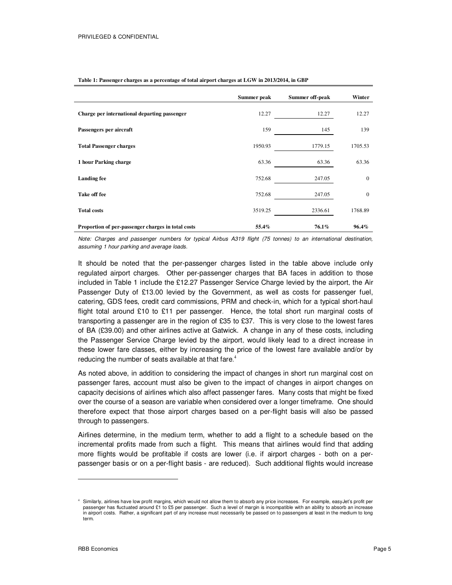|                                                    | Summer peak | Summer off-peak | Winter   |
|----------------------------------------------------|-------------|-----------------|----------|
| Charge per international departing passenger       | 12.27       | 12.27           | 12.27    |
| Passengers per aircraft                            | 159         | 145             | 139      |
| <b>Total Passenger charges</b>                     | 1950.93     | 1779.15         | 1705.53  |
| 1 hour Parking charge                              | 63.36       | 63.36 63.36     |          |
| <b>Landing fee</b>                                 | 752.68      | 247.05          | $\Omega$ |
| Take off fee                                       | 752.68      | 247.05          |          |
| <b>Total costs</b>                                 | 3519.25     | 2336.61         | 1768.89  |
| Proportion of per-passenger charges in total costs | 55.4%       | 76.1%           | 96.4%    |

**Table 1: Passenger charges as a percentage of total airport charges at LGW in 2013/2014, in GBP** 

Note: Charges and passenger numbers for typical Airbus A319 flight (75 tonnes) to an international destination, assuming 1 hour parking and average loads.

It should be noted that the per-passenger charges listed in the table above include only regulated airport charges. Other per-passenger charges that BA faces in addition to those included in Table 1 include the £12.27 Passenger Service Charge levied by the airport, the Air Passenger Duty of £13.00 levied by the Government, as well as costs for passenger fuel, catering, GDS fees, credit card commissions, PRM and check-in, which for a typical short-haul flight total around £10 to £11 per passenger. Hence, the total short run marginal costs of transporting a passenger are in the region of £35 to £37. This is very close to the lowest fares of BA (£39.00) and other airlines active at Gatwick. A change in any of these costs, including the Passenger Service Charge levied by the airport, would likely lead to a direct increase in these lower fare classes, either by increasing the price of the lowest fare available and/or by reducing the number of seats available at that fare.<sup>4</sup>

As noted above, in addition to considering the impact of changes in short run marginal cost on passenger fares, account must also be given to the impact of changes in airport changes on capacity decisions of airlines which also affect passenger fares. Many costs that might be fixed over the course of a season are variable when considered over a longer timeframe. One should therefore expect that those airport charges based on a per-flight basis will also be passed through to passengers.

Airlines determine, in the medium term, whether to add a flight to a schedule based on the incremental profits made from such a flight. This means that airlines would find that adding more flights would be profitable if costs are lower (i.e. if airport charges - both on a perpassenger basis or on a per-flight basis - are reduced). Such additional flights would increase

<sup>4</sup> Similarly, airlines have low profit margins, which would not allow them to absorb any price increases. For example, easyJet's profit per passenger has fluctuated around £1 to £5 per passenger. Such a level of margin is incompatible with an ability to absorb an increase in airport costs. Rather, a significant part of any increase must necessarily be passed on to passengers at least in the medium to long term.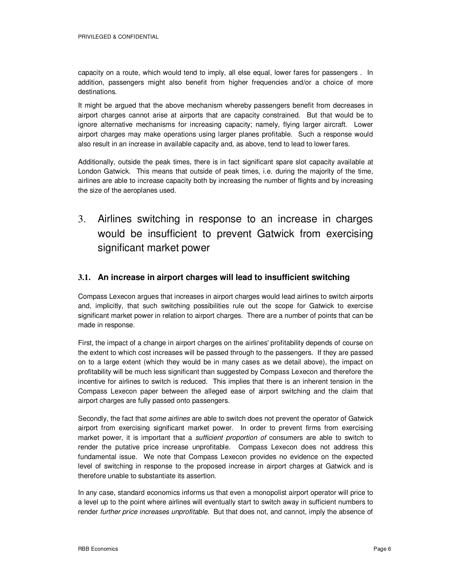capacity on a route, which would tend to imply, all else equal, lower fares for passengers . In addition, passengers might also benefit from higher frequencies and/or a choice of more destinations.

It might be argued that the above mechanism whereby passengers benefit from decreases in airport charges cannot arise at airports that are capacity constrained. But that would be to ignore alternative mechanisms for increasing capacity; namely, flying larger aircraft. Lower airport charges may make operations using larger planes profitable. Such a response would also result in an increase in available capacity and, as above, tend to lead to lower fares.

Additionally, outside the peak times, there is in fact significant spare slot capacity available at London Gatwick. This means that outside of peak times, i.e. during the majority of the time, airlines are able to increase capacity both by increasing the number of flights and by increasing the size of the aeroplanes used.

3. Airlines switching in response to an increase in charges would be insufficient to prevent Gatwick from exercising significant market power

### **3.1. An increase in airport charges will lead to insufficient switching**

Compass Lexecon argues that increases in airport charges would lead airlines to switch airports and, implicitly, that such switching possibilities rule out the scope for Gatwick to exercise significant market power in relation to airport charges. There are a number of points that can be made in response.

First, the impact of a change in airport charges on the airlines' profitability depends of course on the extent to which cost increases will be passed through to the passengers. If they are passed on to a large extent (which they would be in many cases as we detail above), the impact on profitability will be much less significant than suggested by Compass Lexecon and therefore the incentive for airlines to switch is reduced. This implies that there is an inherent tension in the Compass Lexecon paper between the alleged ease of airport switching and the claim that airport charges are fully passed onto passengers.

Secondly, the fact that *some airlines* are able to switch does not prevent the operator of Gatwick airport from exercising significant market power. In order to prevent firms from exercising market power, it is important that a *sufficient proportion of* consumers are able to switch to render the putative price increase unprofitable. Compass Lexecon does not address this fundamental issue. We note that Compass Lexecon provides no evidence on the expected level of switching in response to the proposed increase in airport charges at Gatwick and is therefore unable to substantiate its assertion.

In any case, standard economics informs us that even a monopolist airport operator will price to a level up to the point where airlines will eventually start to switch away in sufficient numbers to render further price increases unprofitable. But that does not, and cannot, imply the absence of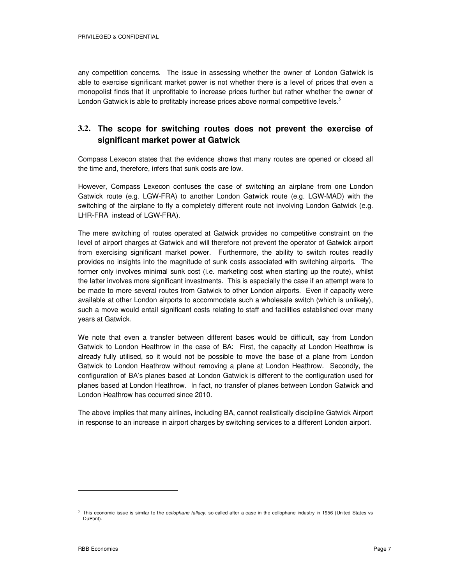PRIVILEGED & CONFIDENTIAL

any competition concerns. The issue in assessing whether the owner of London Gatwick is able to exercise significant market power is not whether there is a level of prices that even a monopolist finds that it unprofitable to increase prices further but rather whether the owner of London Gatwick is able to profitably increase prices above normal competitive levels.<sup>5</sup>

## **3.2. The scope for switching routes does not prevent the exercise of significant market power at Gatwick**

Compass Lexecon states that the evidence shows that many routes are opened or closed all the time and, therefore, infers that sunk costs are low.

However, Compass Lexecon confuses the case of switching an airplane from one London Gatwick route (e.g. LGW-FRA) to another London Gatwick route (e.g. LGW-MAD) with the switching of the airplane to fly a completely different route not involving London Gatwick (e.g. LHR-FRA instead of LGW-FRA).

The mere switching of routes operated at Gatwick provides no competitive constraint on the level of airport charges at Gatwick and will therefore not prevent the operator of Gatwick airport from exercising significant market power. Furthermore, the ability to switch routes readily provides no insights into the magnitude of sunk costs associated with switching airports. The former only involves minimal sunk cost (i.e. marketing cost when starting up the route), whilst the latter involves more significant investments. This is especially the case if an attempt were to be made to more several routes from Gatwick to other London airports. Even if capacity were available at other London airports to accommodate such a wholesale switch (which is unlikely), such a move would entail significant costs relating to staff and facilities established over many years at Gatwick.

We note that even a transfer between different bases would be difficult, say from London Gatwick to London Heathrow in the case of BA: First, the capacity at London Heathrow is already fully utilised, so it would not be possible to move the base of a plane from London Gatwick to London Heathrow without removing a plane at London Heathrow. Secondly, the configuration of BA's planes based at London Gatwick is different to the configuration used for planes based at London Heathrow. In fact, no transfer of planes between London Gatwick and London Heathrow has occurred since 2010.

The above implies that many airlines, including BA, cannot realistically discipline Gatwick Airport in response to an increase in airport charges by switching services to a different London airport.

 $5$  This economic issue is similar to the *cellophane fallacy*, so-called after a case in the cellophane industry in 1956 (United States vs DuPont).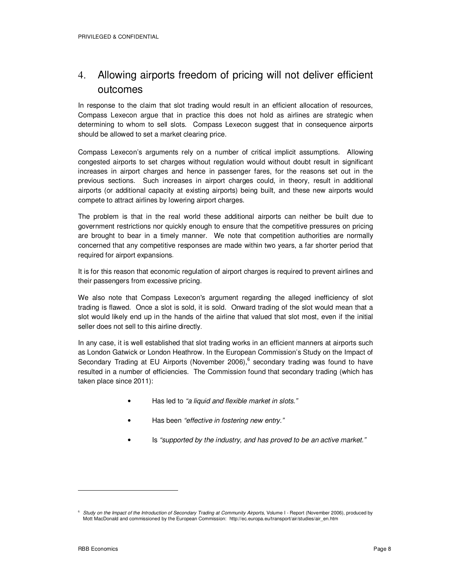# 4. Allowing airports freedom of pricing will not deliver efficient outcomes

In response to the claim that slot trading would result in an efficient allocation of resources, Compass Lexecon argue that in practice this does not hold as airlines are strategic when determining to whom to sell slots. Compass Lexecon suggest that in consequence airports should be allowed to set a market clearing price.

Compass Lexecon's arguments rely on a number of critical implicit assumptions. Allowing congested airports to set charges without regulation would without doubt result in significant increases in airport charges and hence in passenger fares, for the reasons set out in the previous sections. Such increases in airport charges could, in theory, result in additional airports (or additional capacity at existing airports) being built, and these new airports would compete to attract airlines by lowering airport charges.

The problem is that in the real world these additional airports can neither be built due to government restrictions nor quickly enough to ensure that the competitive pressures on pricing are brought to bear in a timely manner. We note that competition authorities are normally concerned that any competitive responses are made within two years, a far shorter period that required for airport expansions.

It is for this reason that economic regulation of airport charges is required to prevent airlines and their passengers from excessive pricing.

We also note that Compass Lexecon's argument regarding the alleged inefficiency of slot trading is flawed. Once a slot is sold, it is sold. Onward trading of the slot would mean that a slot would likely end up in the hands of the airline that valued that slot most, even if the initial seller does not sell to this airline directly.

In any case, it is well established that slot trading works in an efficient manners at airports such as London Gatwick or London Heathrow. In the European Commission's Study on the Impact of Secondary Trading at EU Airports (November 2006),<sup>6</sup> secondary trading was found to have resulted in a number of efficiencies. The Commission found that secondary trading (which has taken place since 2011):

- Has led to "a liquid and flexible market in slots."
- Has been "effective in fostering new entry."
- Is "supported by the industry, and has proved to be an active market."

<sup>&</sup>lt;sup>6</sup> Study on the Impact of the Introduction of Secondary Trading at Community Airports, Volume I - Report (November 2006), produced by Mott MacDonald and commissioned by the European Commission: http://ec.europa.eu/transport/air/studies/air\_en.htm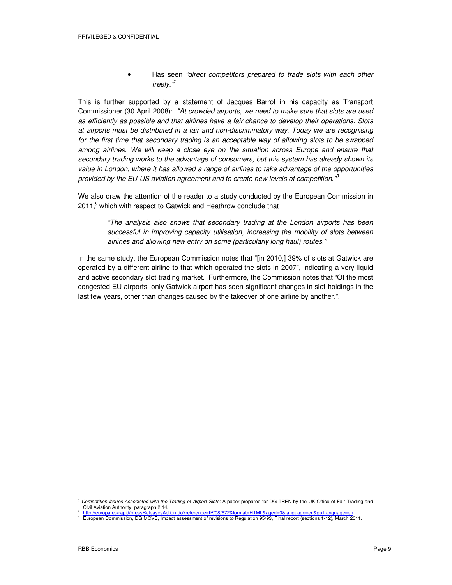• Has seen "direct competitors prepared to trade slots with each other freely."*<sup>7</sup>*

This is further supported by a statement of Jacques Barrot in his capacity as Transport Commissioner (30 April 2008): "At crowded airports, we need to make sure that slots are used as efficiently as possible and that airlines have a fair chance to develop their operations. Slots at airports must be distributed in a fair and non-discriminatory way. Today we are recognising for the first time that secondary trading is an acceptable way of allowing slots to be swapped among airlines. We will keep a close eye on the situation across Europe and ensure that secondary trading works to the advantage of consumers, but this system has already shown its value in London, where it has allowed a range of airlines to take advantage of the opportunities provided by the EU-US aviation agreement and to create new levels of competition.<sup>18</sup>

We also draw the attention of the reader to a study conducted by the European Commission in 2011,<sup>9</sup> which with respect to Gatwick and Heathrow conclude that

"The analysis also shows that secondary trading at the London airports has been successful in improving capacity utilisation, increasing the mobility of slots between airlines and allowing new entry on some (particularly long haul) routes."

In the same study, the European Commission notes that "[in 2010,] 39% of slots at Gatwick are operated by a different airline to that which operated the slots in 2007", indicating a very liquid and active secondary slot trading market. Furthermore, the Commission notes that "Of the most congested EU airports, only Gatwick airport has seen significant changes in slot holdings in the last few years, other than changes caused by the takeover of one airline by another.".

 $\overline{a}$ 

 $^7$  Competition Issues Associated with the Trading of Airport Slots: A paper prepared for DG TREN by the UK Office of Fair Trading and Civil Aviation Authority, paragraph 2.14.

<sup>8</sup> http://europa.eu/rapid/pressReleasesAction.do?reference=IP/08/672&format=HTML&aged=0&language=en&guiLanguage=e

<sup>9</sup> European Commission, DG MOVE, Impact assessment of revisions to Regulation 95/93, Final report (sections 1-12), March 2011.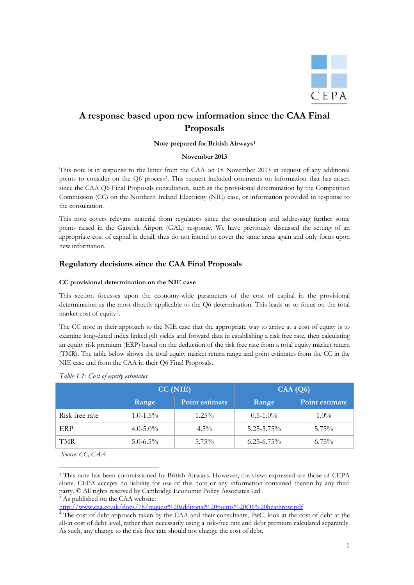

# **A response based upon new information since the CAA Final Proposals**

#### **Note prepared for British Airways[1](#page-11-0)**

#### **November 2013**

This note is in response to the letter from the CAA on 18 November 2013 in request of any additional points to consider on the Q6 process<sup>[2](#page-11-1)</sup>. This request included comments on information that has arisen since the CAA Q6 Final Proposals consultation, such as the provisional determination by the Competition Commission (CC) on the Northern Ireland Electricity (NIE) case, or information provided in response to the consultation.

This note covers relevant material from regulators since the consultation and addressing further some points raised in the Gatwick Airport (GAL) response. We have previously discussed the setting of an appropriate cost of capital in detail, thus do not intend to cover the same areas again and only focus upon new information.

#### **Regulatory decisions since the CAA Final Proposals**

#### **CC provisional determination on the NIE case**

This section focusses upon the economy-wide parameters of the cost of capital in the provisional determination as the most directly applicable to the Q6 determination. This leads us to focus on the total market cost of equity<sup>[3](#page-11-2)</sup>.

The CC note in their approach to the NIE case that the appropriate way to arrive at a cost of equity is to examine long-dated index linked gilt yields and forward data in establishing a risk free rate, then calculating an equity risk premium (ERP) based on the deduction of the risk free rate from a total equity market return (TMR). The table below shows the total equity market return range and point estimates from the CC in the NIE case and from the CAA in their Q6 Final Proposals.

|                | CC(NIE)       |                | CAA(Q6)         |                |  |
|----------------|---------------|----------------|-----------------|----------------|--|
|                | Range         | Point estimate | Range           | Point estimate |  |
| Risk free rate | $1.0 - 1.5\%$ | $1.25\%$       | $0.5 - 1.0\%$   | $1.0\%$        |  |
| ERP            | $4.0 - 5.0\%$ | $4.5\%$        | $5.25 - 5.75\%$ | $5.75\%$       |  |
| TMR            | $5.0 - 6.5\%$ | $5.75\%$       | $6.25 - 6.75\%$ | $6.75\%$       |  |

#### *Table 1.1: Cost of equity estimates*

*Source: CC, CAA*

<span id="page-11-1"></span><http://www.caa.co.uk/docs/78/request%20additonal%20points%20Q6%20heathrow.pdf>

<span id="page-11-0"></span>**<sup>.</sup>** <sup>1</sup> This note has been commissioned by British Airways. However, the views expressed are those of CEPA alone. CEPA accepts no liability for use of this note or any information contained therein by any third party. © All rights reserved by Cambridge Economic Policy Associates Ltd. <sup>2</sup> As published on the CAA website:

<span id="page-11-2"></span><sup>&</sup>lt;sup>3</sup> The cost of debt approach taken by the CAA and their consultants, PwC, look at the cost of debt at the all-in cost of debt level, rather than necessarily using a risk-free rate and debt premium calculated separately. As such, any change to the risk free rate should not change the cost of debt.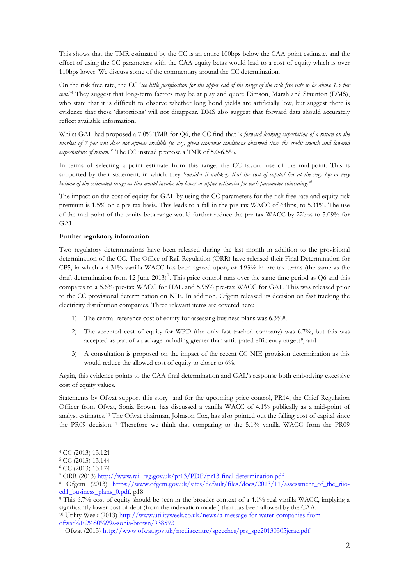This shows that the TMR estimated by the CC is an entire 100bps below the CAA point estimate, and the effect of using the CC parameters with the CAA equity betas would lead to a cost of equity which is over 110bps lower. We discuss some of the commentary around the CC determination.

On the risk free rate, the CC '*see little justification for the upper end of the range of the risk free rate to be above 1.5 per cent.*'[4](#page-12-0) They suggest that long-term factors may be at play and quote Dimson, Marsh and Staunton (DMS), who state that it is difficult to observe whether long bond yields are artificially low, but suggest there is evidence that these 'distortions' will not disappear. DMS also suggest that forward data should accurately reflect available information.

Whilst GAL had proposed a 7.0% TMR for Q6, the CC find that '*a forward-looking expectation of a return on the market of 7 per cent does not appear credible (to us), given economic conditions observed since the credit crunch and lowered* expectations of return.<sup>[5](#page-12-1)</sup> The CC instead propose a TMR of 5.0-6.5%.

In terms of selecting a point estimate from this range, the CC favour use of the mid-point. This is supported by their statement, in which they *'consider it unlikely that the cost of capital lies at the very top or very bottom of the estimated range as this would involve the lower or upper estimates for each parameter coinciding.' [6](#page-12-2)*

The impact on the cost of equity for GAL by using the CC parameters for the risk free rate and equity risk premium is 1.5% on a pre-tax basis. This leads to a fall in the pre-tax WACC of 64bps, to 5.31%. The use of the mid-point of the equity beta range would further reduce the pre-tax WACC by 22bps to 5.09% for GAL.

#### **Further regulatory information**

Two regulatory determinations have been released during the last month in addition to the provisional determination of the CC. The Office of Rail Regulation (ORR) have released their Final Determination for CP5, in which a 4.31% vanilla WACC has been agreed upon, or 4.93% in pre-tax terms (the same as the draft determination from 12 June 2013)<sup>[7](#page-12-3)</sup>. This price control runs over the same time period as Q6 and this compares to a 5.6% pre-tax WACC for HAL and 5.95% pre-tax WACC for GAL. This was released prior to the CC provisional determination on NIE. In addition, Ofgem released its decision on fast tracking the electricity distribution companies. Three relevant items are covered here:

- 1) The central reference cost of equity for assessing business plans was 6.3%<sup>[8](#page-12-4)</sup>;
- 2) The accepted cost of equity for WPD (the only fast-tracked company) was 6.7%, but this was accepted as part of a package including greater than anticipated efficiency targets<sup>[9](#page-12-5)</sup>; and
- 3) A consultation is proposed on the impact of the recent CC NIE provision determination as this would reduce the allowed cost of equity to closer to 6%.

Again, this evidence points to the CAA final determination and GAL's response both embodying excessive cost of equity values.

Statements by Ofwat support this story and for the upcoming price control, PR14, the Chief Regulation Officer from Ofwat, Sonia Brown, has discussed a vanilla WACC of 4.1% publically as a mid-point of analyst estimates.[10](#page-12-6) The Ofwat chairman, Johnson Cox, has also pointed out the falling cost of capital since the PR09 decision.[11](#page-12-7) Therefore we think that comparing to the 5.1% vanilla WACC from the PR09

**.** 

<span id="page-12-6"></span><sup>10</sup> Utility Week (2013) [http://www.utilityweek.co.uk/news/a-message-for-water-companies-from](http://www.utilityweek.co.uk/news/a-message-for-water-companies-from-ofwat%E2%80%99s-sonia-brown/938592)[ofwat%E2%80%99s-sonia-brown/938592](http://www.utilityweek.co.uk/news/a-message-for-water-companies-from-ofwat%E2%80%99s-sonia-brown/938592)

<span id="page-12-0"></span><sup>4</sup> CC (2013) 13.121

<sup>5</sup> CC (2013) 13.144

<span id="page-12-3"></span><span id="page-12-2"></span><span id="page-12-1"></span><sup>6</sup> CC (2013) 13.174

<sup>7</sup> ORR (2013)<http://www.rail-reg.gov.uk/pr13/PDF/pr13-final-determination.pdf>

<span id="page-12-4"></span><sup>8</sup> Ofgem (2013) [https://www.ofgem.gov.uk/sites/default/files/docs/2013/11/assessment\\_of\\_the\\_riio](https://www.ofgem.gov.uk/sites/default/files/docs/2013/11/assessment_of_the_riio-ed1_business_plans_0.pdf)ed1 business plans 0.pdf, p18.

<span id="page-12-5"></span><sup>9</sup> This 6.7% cost of equity should be seen in the broader context of a 4.1% real vanilla WACC, implying a significantly lower cost of debt (from the indexation model) than has been allowed by the CAA.

<span id="page-12-7"></span><sup>&</sup>lt;sup>11</sup> Ofwat (2013) [http://www.ofwat.gov.uk/mediacentre/speeches/prs\\_spe20130305jcrae.pdf](http://www.ofwat.gov.uk/mediacentre/speeches/prs_spe20130305jcrae.pdf)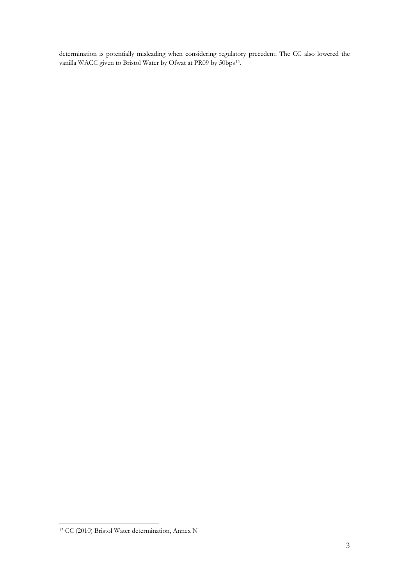determination is potentially misleading when considering regulatory precedent. The CC also lowered the vanilla WACC given to Bristol Water by Ofwat at PR09 by 50bps<sup>[12](#page-13-0)</sup>.

<span id="page-13-0"></span><sup>&</sup>lt;u>.</u> <sup>12</sup> CC (2010) Bristol Water determination, Annex N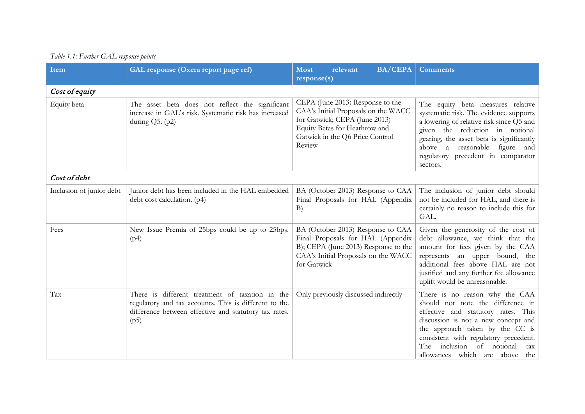|  |  | Table 1.1: Further GAL response points |  |  |  |
|--|--|----------------------------------------|--|--|--|
|--|--|----------------------------------------|--|--|--|

| Item                     | GAL response (Oxera report page ref)                                                                                                                                      | relevant<br><b>Most</b><br>response(s)                                                                                                                                                 | <b>BA/CEPA</b> Comments                                                                                                                                                                                                                                                                                     |
|--------------------------|---------------------------------------------------------------------------------------------------------------------------------------------------------------------------|----------------------------------------------------------------------------------------------------------------------------------------------------------------------------------------|-------------------------------------------------------------------------------------------------------------------------------------------------------------------------------------------------------------------------------------------------------------------------------------------------------------|
| Cost of equity           |                                                                                                                                                                           |                                                                                                                                                                                        |                                                                                                                                                                                                                                                                                                             |
| Equity beta              | The asset beta does not reflect the significant<br>increase in GAL's risk. Systematic risk has increased<br>during $Q5.$ (p2)                                             | CEPA (June 2013) Response to the<br>CAA's Initial Proposals on the WACC<br>for Gatwick; CEPA (June 2013)<br>Equity Betas for Heathrow and<br>Gatwick in the Q6 Price Control<br>Review | The equity beta measures relative<br>systematic risk. The evidence supports<br>a lowering of relative risk since Q5 and<br>given the reduction in notional<br>gearing, the asset beta is significantly<br>above a reasonable figure and<br>regulatory precedent in comparator<br>sectors.                   |
| Cost of debt             |                                                                                                                                                                           |                                                                                                                                                                                        |                                                                                                                                                                                                                                                                                                             |
| Inclusion of junior debt | Junior debt has been included in the HAL embedded<br>debt cost calculation. (p4)                                                                                          | BA (October 2013) Response to CAA<br>Final Proposals for HAL (Appendix<br>B)                                                                                                           | The inclusion of junior debt should<br>not be included for HAL, and there is<br>certainly no reason to include this for<br>GAL.                                                                                                                                                                             |
| Fees                     | New Issue Premia of 25bps could be up to 25bps.<br>(p4)                                                                                                                   | BA (October 2013) Response to CAA<br>Final Proposals for HAL (Appendix<br>B); CEPA (June 2013) Response to the<br>CAA's Initial Proposals on the WACC<br>for Gatwick                   | Given the generosity of the cost of<br>debt allowance, we think that the<br>amount for fees given by the CAA<br>represents an upper bound, the<br>additional fees above HAL are not<br>justified and any further fee allowance<br>uplift would be unreasonable.                                             |
| Tax                      | There is different treatment of taxation in the<br>regulatory and tax accounts. This is different to the<br>difference between effective and statutory tax rates.<br>(p5) | Only previously discussed indirectly                                                                                                                                                   | There is no reason why the CAA<br>should not note the difference in<br>effective and statutory rates. This<br>discussion is not a new concept and<br>the approach taken by the CC is<br>consistent with regulatory precedent.<br>inclusion<br>of notional<br>The<br>tax  <br>allowances which are above the |